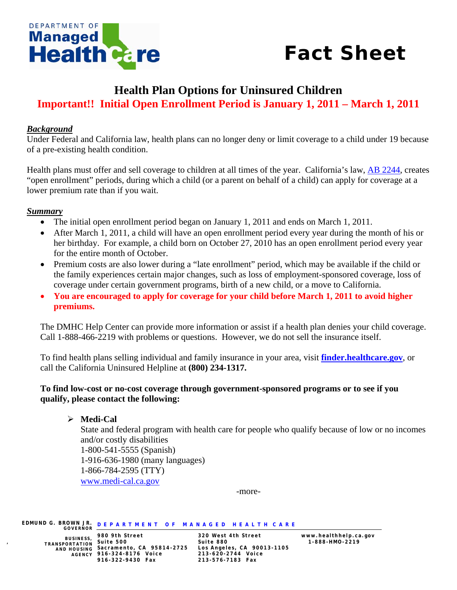

# *Fact Sheet*

## **Health Plan Options for Uninsured Children Important!! Initial Open Enrollment Period is January 1, 2011 – March 1, 2011**

#### *Background*

Under Federal and California law, health plans can no longer deny or limit coverage to a child under 19 because of a pre-existing health condition.

Health plans must offer and sell coverage to children at all times of the year. California's law, [AB 2244](http://www.leginfo.ca.gov/pub/09-10/bill/asm/ab_2201-2250/ab_2244_bill_20100930_chaptered.html), creates "open enrollment" periods, during which a child (or a parent on behalf of a child) can apply for coverage at a lower premium rate than if you wait.

#### *Summary*

- The initial open enrollment period began on January 1, 2011 and ends on March 1, 2011.
- After March 1, 2011, a child will have an open enrollment period every year during the month of his or her birthday. For example, a child born on October 27, 2010 has an open enrollment period every year for the entire month of October.
- Premium costs are also lower during a "late enrollment" period, which may be available if the child or the family experiences certain major changes, such as loss of employment-sponsored coverage, loss of coverage under certain government programs, birth of a new child, or a move to California.
- **You are encouraged to apply for coverage for your child before March 1, 2011 to avoid higher premiums.**

The DMHC Help Center can provide more information or assist if a health plan denies your child coverage. Call 1-888-466-2219 with problems or questions. However, we do not sell the insurance itself.

To find health plans selling individual and family insurance in your area, visit **[finder.healthcare.gov](http://finder.healthcare.gov/)**, or call the California Uninsured Helpline at **(800) 234-1317.** 

#### **To find low-cost or no-cost coverage through government-sponsored programs or to see if you qualify, please contact the following:**

¾ **Medi-Cal** State and federal program with health care for people who qualify because of low or no incomes and/or costly disabilities 1-800-541-5555 (Spanish) 1-916-636-1980 (many languages) 1-866-784-2595 (TTY) [www.medi-cal.ca.gov](http://www.medi-cal.ca.gov/) 

-more-

**EDMUND G. BROWN JR. GOVERNOR D E P A R T M E N T O F M A N A G E D H E A L T H C A R E** 

**BUSINESS, TRANSPORTATION** 

AND HOUSING Sacramento, CA 95814-2725 **AGENCY 916-324-8176 Voice 213-620-2744 Voice 980 9th Street 320 West 4th Street www.healthhelp.ca.gov , Suite 500 Suite 880 1-888-HMO-2219 916-322-9430 Fax 213-576-7183 Fax**

**Sacramento, CA 95814-2725 Los Angeles, CA 90013-1105**